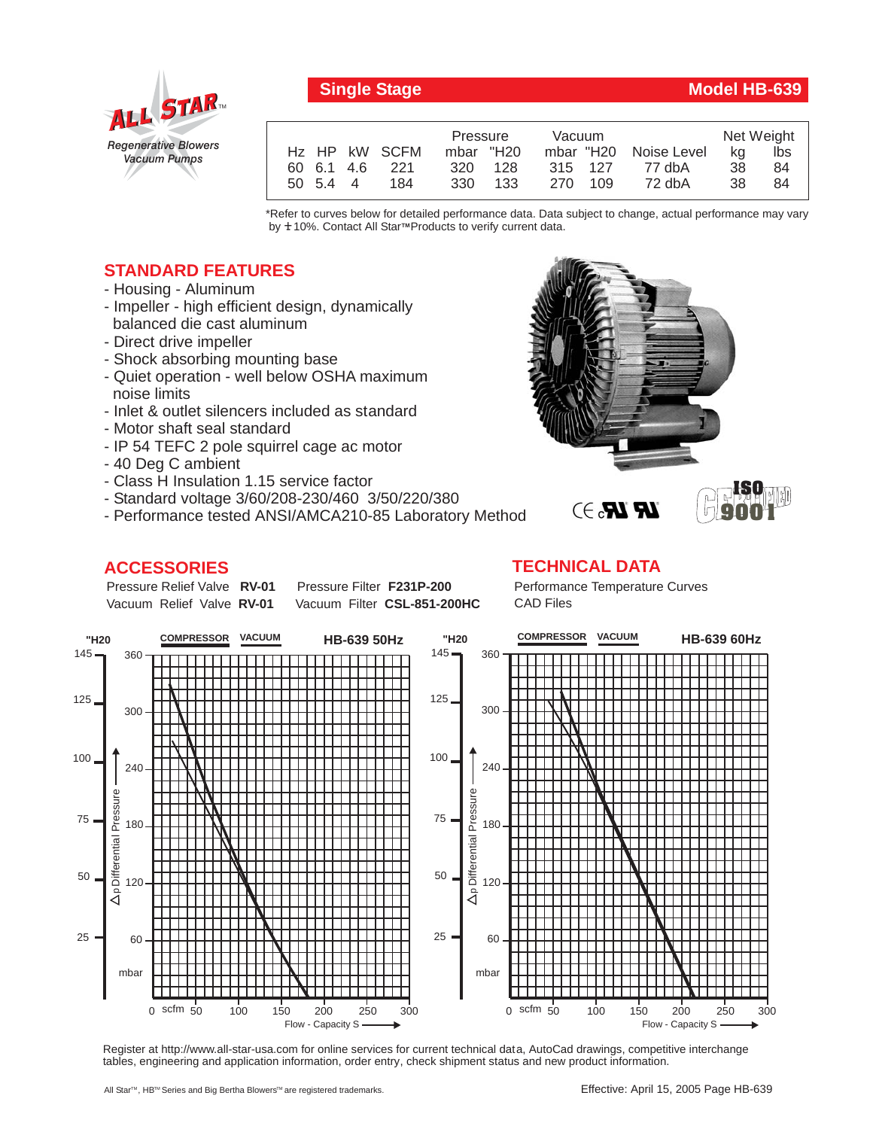

## **Single Stage Model HB-639**

**ISO 9001**

|  |          |                           | Pressure  |         | Vacuum  |         |                       | Net Weight |     |
|--|----------|---------------------------|-----------|---------|---------|---------|-----------------------|------------|-----|
|  |          | H <sub>z</sub> HP kW SCFM | mbar "H20 |         |         |         | mbar "H20 Noise Level | ka         | lbs |
|  |          | 60 6.1 4.6 221            |           | 320 128 |         | 315 127 | 77 dbA                | 38         | 84  |
|  | 50 5.4 4 | 184                       |           | 330 133 | 270 109 |         | 72 dbA                | 38.        | 84  |

\*Refer to curves below for detailed performance data. Data subject to change, actual performance may vary by **+** 10%. Contact All Star™Products to verify current data.

## **STANDARD FEATURES**

- Housing Aluminum
- Impeller high efficient design, dynamically balanced die cast aluminum
- Direct drive impeller
- Shock absorbing mounting base
- Quiet operation well below OSHA maximum noise limits
- Inlet & outlet silencers included as standard
- Motor shaft seal standard
- IP 54 TEFC 2 pole squirrel cage ac motor
- 40 Deg C ambient
- Class H Insulation 1.15 service factor
- Standard voltage 3/60/208-230/460 3/50/220/380
- Performance tested ANSI/AMCA210-85 Laboratory Method

## **ACCESSORIES**

Pressure Relief Valve RV-01 Vacuum Relief Valve RV-01

**Pressure Filter F231P-200** Vacuum Filter CSL-851-200HC

## **TECHNICAL DATA**

Performance Temperature Curves CAD Files

**LR LR.** 3



Register at http://www.all-star-usa.com for online services for current technical data, AutoCad drawings, competitive interchange tables, engineering and application information, order entry, check shipment status and new product information.